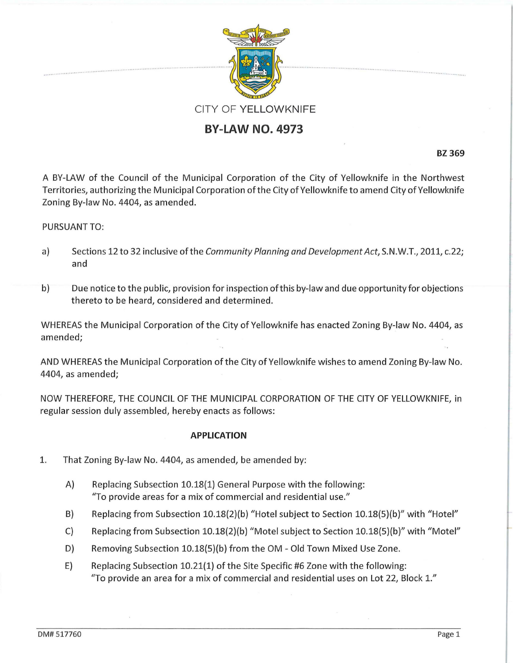

# **BY-LAW NO. 4973**

**BZ 369** 

A BY-LAW of the Council of the Municipal Corporation of the City of Yellowknife in the Northwest Territories, authorizing the Municipal Corporation ofthe City of Yellowknife to amend City of Yellowknife Zoning By-law No. 4404, as amended.

# PURSUANT TO:

- a} Sections 12 to 32 inclusive of the Community Planning and Development Act, S.N.W.T., 2011, c.22; and
- b) Due notice to the public, provision for inspection ofthis by-law and due opportunity for objections thereto to be heard, considered and determined.

WHEREAS the Municipal Corporation of the City of Yellowknife has enacted Zoning By-law No. 4404, as amended;

AND WHEREAS the Municipal Corporation of the City of Yellowknife wishes to amend Zoning By-law No. 4404, as amended;

NOW THEREFORE, THE COUNCIL OF THE MUNICIPAL CORPORATION OF THE CITY OF YELLOWKNIFE, in regular session duly assembled, hereby enacts as follows:

## **APPLICATION**

- 1. That Zoning By-law No. 4404, as amended, be amended by:
	- A} Replacing Subsection 10.18{1} General Purpose with the following: "To provide areas for a mix of commercial and residential use."
	- B) Replacing from Subsection 10.18{2}(b} "Hotel subject to Section 10.18{5}(b}" with "Hotel"
	- C) Replacing from Subsection 10.18{2}(b} "Motel subject to Section 10.18{5}(b}" with "Motel"
	- D) Removing Subsection 10.18{5}(b} from the OM- Old Town Mixed Use Zone.
	- E) Replacing Subsection 10.21{1} of the Site Specific #6 Zone with the following: "To provide an area for a mix of commercial and residential uses on Lot 22, Block *1."*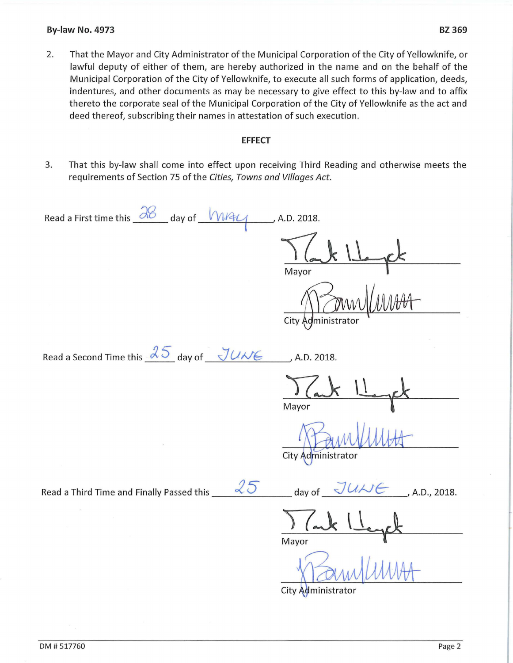#### **By-law No. 4973 BZ 369**

2. That the Mayor and City Administrator of the Municipal Corporation of the City of Yellowknife, or lawful deputy of either of them, are hereby authorized in the name and on the behalf of the Municipal Corporation of the City of Yellowknife, to execute all such forms of application, deeds, indentures, and other documents as may be necessary to give effect to this by-law and to affix thereto the corporate seal of the Municipal Corporation of the City of Yellowknife as the act and deed thereof, subscribing their names in attestation of such execution.

### **EFFECT**

3. That this by-law shall come into effect upon receiving Third Reading and otherwise meets the requirements of Section 75 of the *Cities, Towns and Villages Act.* 

Read a First time this  $\frac{\partial 8}{\partial 1}$  day of  $\sqrt{N/4}$ , A.D. 2018. Mayor City Administrato Read a Second Time this  $35$  day of  $JU \wedge K$ , A.D. 2018. Mayor City Administrator Read a Third Time and Finally Passed this  $\sqrt[3]{5}$  day of  $\sqrt[3]{U\text{W}}$ , A.D., 2018. Mayor

City Administrator